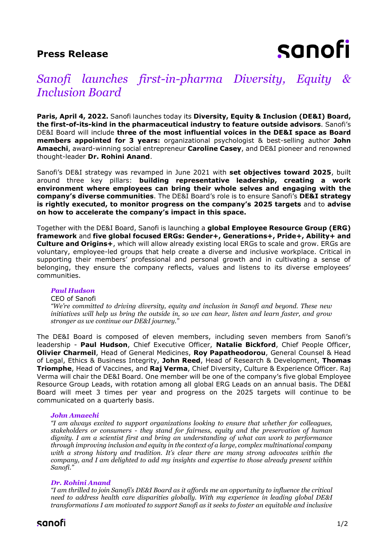# **Press Release**



# *Sanofi launches first-in-pharma Diversity, Equity & Inclusion Board*

**Paris, April 4, 2022.** Sanofi launches today its **Diversity, Equity & Inclusion (DE&I) Board, the first-of-its-kind in the pharmaceutical industry to feature outside advisors**. Sanofi's DE&I Board will include **three of the most influential voices in the DE&I space as Board members appointed for 3 years:** organizational psychologist & best-selling author **John Amaechi**, award-winning social entrepreneur **Caroline Casey**, and DE&I pioneer and renowned thought-leader **Dr. Rohini Anand**.

Sanofi's DE&I strategy was revamped in June 2021 with **set objectives toward 2025**, built around three key pillars: **building representative leadership, creating a work environment where employees can bring their whole selves and engaging with the company's diverse communities**. The DE&I Board's role is to ensure Sanofi's **DE&I strategy is rightly executed, to monitor progress on the company's 2025 targets** and to **advise on how to accelerate the company's impact in this space.**

Together with the DE&I Board, Sanofi is launching a **global Employee Resource Group (ERG) framework** and **five global focused ERGs: Gender+, Generations+, Pride+, Ability+ and Culture and Origins+**, which will allow already existing local ERGs to scale and grow. ERGs are voluntary, employee-led groups that help create a diverse and inclusive workplace. Critical in supporting their members' professional and personal growth and in cultivating a sense of belonging, they ensure the company reflects, values and listens to its diverse employees' communities.

### *Paul Hudson*

#### CEO of Sanofi

*"We're committed to driving diversity, equity and inclusion in Sanofi and beyond. These new initiatives will help us bring the outside in, so we can hear, listen and learn faster, and grow stronger as we continue our DE&I journey."*

The DE&I Board is composed of eleven members, including seven members from Sanofi's leadership - **Paul Hudson**, Chief Executive Officer, **Natalie Bickford**, Chief People Officer, **Olivier Charmeil**, Head of General Medicines, **Roy Papatheodorou**, General Counsel & Head of Legal, Ethics & Business Integrity, **John Reed**, Head of Research & Development, **Thomas Triomphe**, Head of Vaccines, and **Raj Verma**, Chief Diversity, Culture & Experience Officer. Raj Verma will chair the DE&I Board. One member will be one of the company's five global Employee Resource Group Leads, with rotation among all global ERG Leads on an annual basis. The DE&I Board will meet 3 times per year and progress on the 2025 targets will continue to be communicated on a quarterly basis.

#### *John Amaechi*

*"I am always excited to support organizations looking to ensure that whether for colleagues, stakeholders or consumers - they stand for fairness, equity and the preservation of human dignity. I am a scientist first and bring an understanding of what can work to performance through improving inclusion and equity in the context of a large, complex multinational company with a strong history and tradition. It's clear there are many strong advocates within the company, and I am delighted to add my insights and expertise to those already present within Sanofi."*

### *Dr. Rohini Anand*

*"I am thrilled to join Sanofi's DE&I Board as it affords me an opportunity to influence the critical need to address health care disparities globally. With my experience in leading global DE&I transformations I am motivated to support Sanofi as it seeks to foster an equitable and inclusive* 

# sanofi